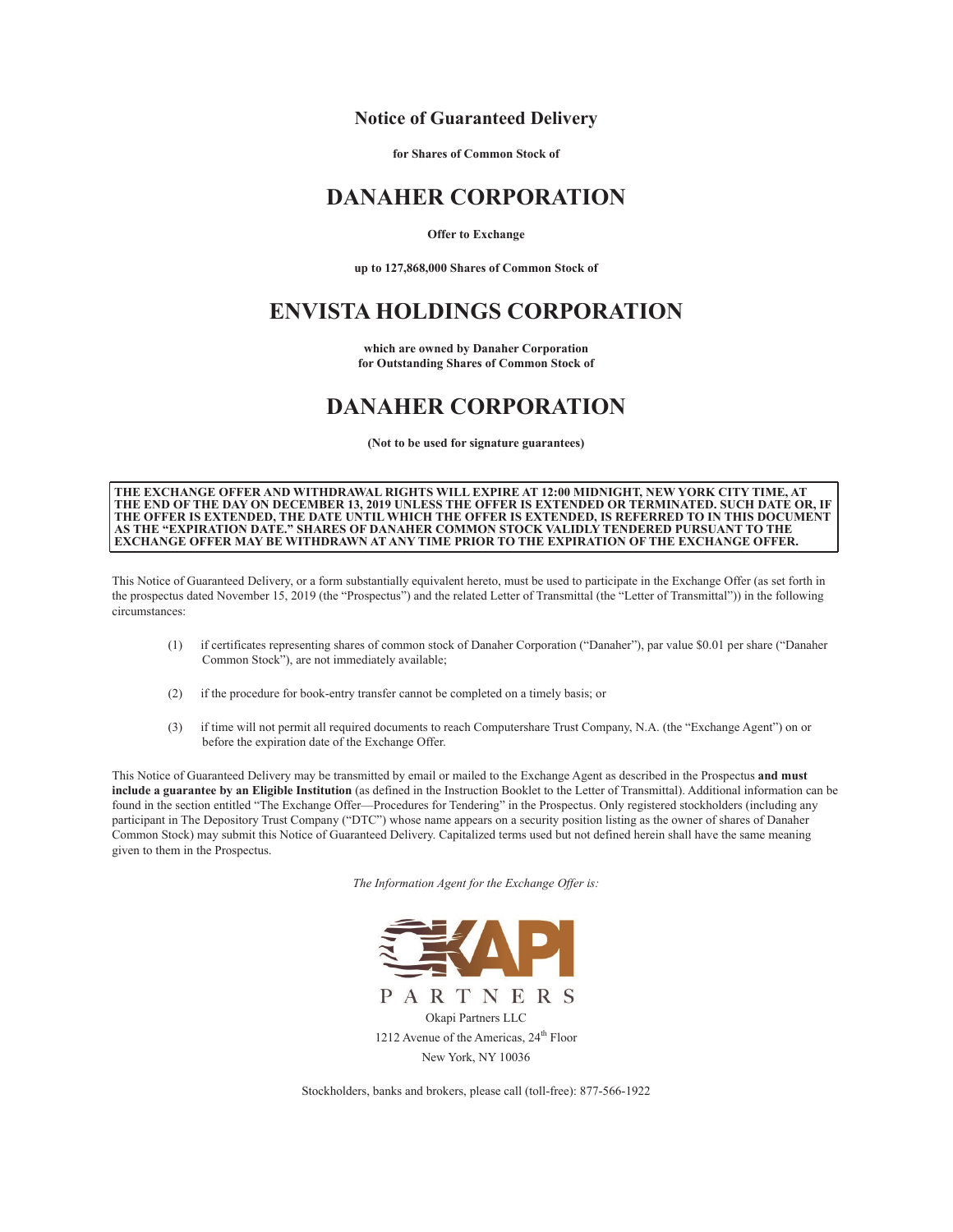### **Notice of Guaranteed Delivery**

**for Shares of Common Stock of**

## **DANAHER CORPORATION**

#### **Offer to Exchange**

**up to 127,868,000 Shares of Common Stock of**

# **ENVISTA HOLDINGS CORPORATION**

**which are owned by Danaher Corporation for Outstanding Shares of Common Stock of**

# **DANAHER CORPORATION**

**(Not to be used for signature guarantees)**

**THE EXCHANGE OFFER AND WITHDRAWAL RIGHTS WILL EXPIRE AT 12:00 MIDNIGHT, NEW YORK CITY TIME, AT THE END OF THE DAY ON DECEMBER 13, 2019 UNLESS THE OFFER IS EXTENDED OR TERMINATED. SUCH DATE OR, IF THE OFFER IS EXTENDED, THE DATE UNTIL WHICH THE OFFER IS EXTENDED, IS REFERRED TO IN THIS DOCUMENT AS THE "EXPIRATION DATE." SHARES OF DANAHER COMMON STOCK VALIDLY TENDERED PURSUANT TO THE EXCHANGE OFFER MAY BE WITHDRAWN AT ANY TIME PRIOR TO THE EXPIRATION OF THE EXCHANGE OFFER.**

This Notice of Guaranteed Delivery, or a form substantially equivalent hereto, must be used to participate in the Exchange Offer (as set forth in the prospectus dated November 15, 2019 (the "Prospectus") and the related Letter of Transmittal (the "Letter of Transmittal")) in the following circumstances:

- (1) if certificates representing shares of common stock of Danaher Corporation ("Danaher"), par value \$0.01 per share ("Danaher Common Stock"), are not immediately available;
- (2) if the procedure for book-entry transfer cannot be completed on a timely basis; or
- (3) if time will not permit all required documents to reach Computershare Trust Company, N.A. (the "Exchange Agent") on or before the expiration date of the Exchange Offer.

This Notice of Guaranteed Delivery may be transmitted by email or mailed to the Exchange Agent as described in the Prospectus **and must include a guarantee by an Eligible Institution** (as defined in the Instruction Booklet to the Letter of Transmittal). Additional information can be found in the section entitled "The Exchange Offer—Procedures for Tendering" in the Prospectus. Only registered stockholders (including any participant in The Depository Trust Company ("DTC") whose name appears on a security position listing as the owner of shares of Danaher Common Stock) may submit this Notice of Guaranteed Delivery. Capitalized terms used but not defined herein shall have the same meaning given to them in the Prospectus.

*The Information Agent for the Exchange Offer is:*



Stockholders, banks and brokers, please call (toll-free): 877-566-1922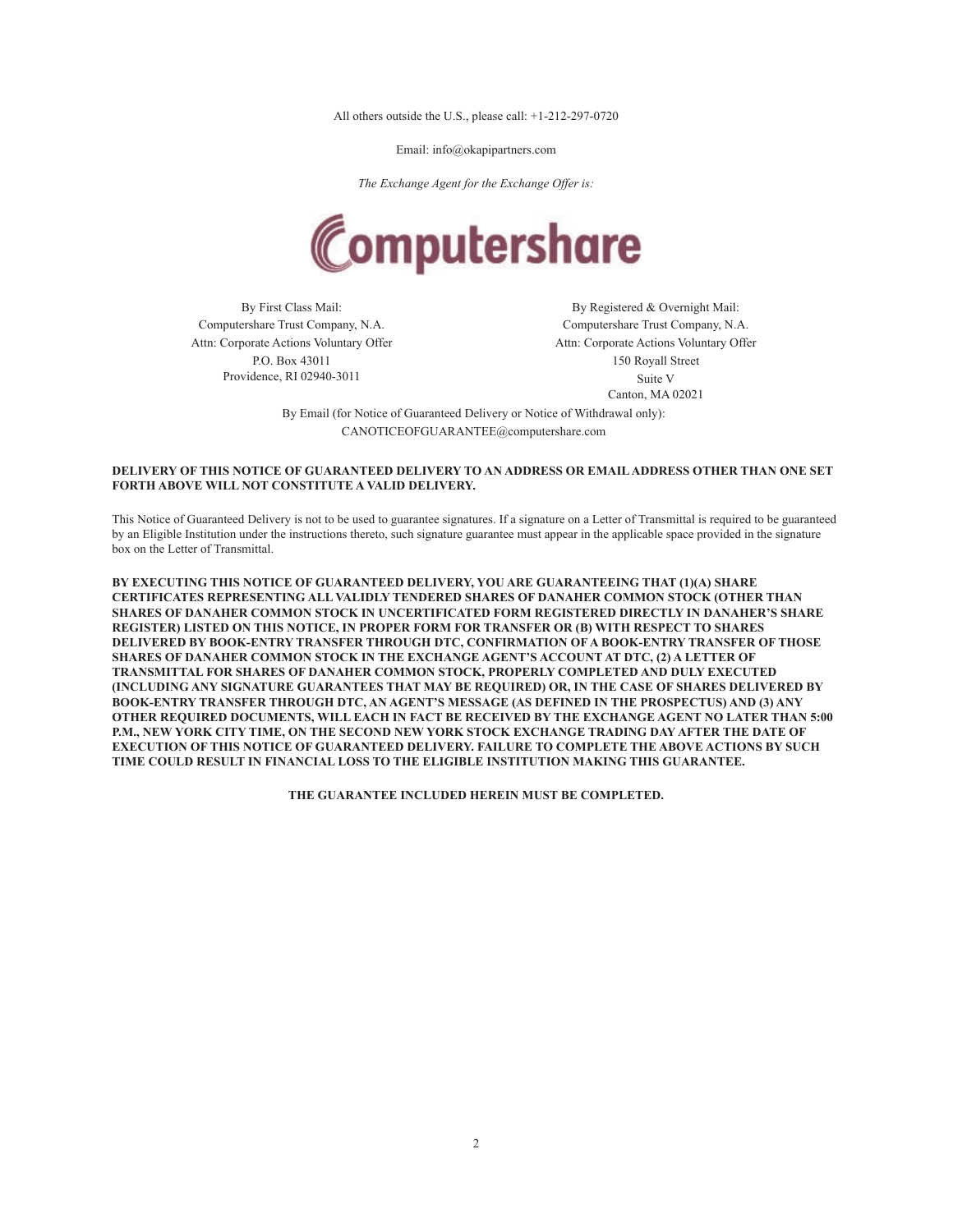All others outside the U.S., please call: +1-212-297-0720

Email: info@okapipartners.com

*The Exchange Agent for the Exchange Offer is:*



Computershare Trust Company, N.A. Computershare Trust Company, N.A. Attn: Corporate Actions Voluntary Offer P.O. Box 43011 Providence, RI 02940-3011

By First Class Mail: By Registered & Overnight Mail: Attn: Corporate Actions Voluntary Offer 150 Royall Street Suite V Canton, MA 02021

By Email (for Notice of Guaranteed Delivery or Notice of Withdrawal only): CANOTICEOFGUARANTEE@computershare.com

### **DELIVERY OF THIS NOTICE OF GUARANTEED DELIVERY TO AN ADDRESS OR EMAIL ADDRESS OTHER THAN ONE SET FORTH ABOVE WILL NOT CONSTITUTE A VALID DELIVERY.**

This Notice of Guaranteed Delivery is not to be used to guarantee signatures. If a signature on a Letter of Transmittal is required to be guaranteed by an Eligible Institution under the instructions thereto, such signature guarantee must appear in the applicable space provided in the signature box on the Letter of Transmittal.

**BY EXECUTING THIS NOTICE OF GUARANTEED DELIVERY, YOU ARE GUARANTEEING THAT (1)(A) SHARE CERTIFICATES REPRESENTING ALL VALIDLY TENDERED SHARES OF DANAHER COMMON STOCK (OTHER THAN SHARES OF DANAHER COMMON STOCK IN UNCERTIFICATED FORM REGISTERED DIRECTLY IN DANAHER'S SHARE REGISTER) LISTED ON THIS NOTICE, IN PROPER FORM FOR TRANSFER OR (B) WITH RESPECT TO SHARES DELIVERED BY BOOK-ENTRY TRANSFER THROUGH DTC, CONFIRMATION OF A BOOK-ENTRY TRANSFER OF THOSE SHARES OF DANAHER COMMON STOCK IN THE EXCHANGE AGENT'S ACCOUNT AT DTC, (2) A LETTER OF TRANSMITTAL FOR SHARES OF DANAHER COMMON STOCK, PROPERLY COMPLETED AND DULY EXECUTED (INCLUDING ANY SIGNATURE GUARANTEES THAT MAY BE REQUIRED) OR, IN THE CASE OF SHARES DELIVERED BY BOOK-ENTRY TRANSFER THROUGH DTC, AN AGENT'S MESSAGE (AS DEFINED IN THE PROSPECTUS) AND (3) ANY OTHER REQUIRED DOCUMENTS, WILL EACH IN FACT BE RECEIVED BY THE EXCHANGE AGENT NO LATER THAN 5:00 P.M., NEW YORK CITY TIME, ON THE SECOND NEW YORK STOCK EXCHANGE TRADING DAY AFTER THE DATE OF EXECUTION OF THIS NOTICE OF GUARANTEED DELIVERY. FAILURE TO COMPLETE THE ABOVE ACTIONS BY SUCH TIME COULD RESULT IN FINANCIAL LOSS TO THE ELIGIBLE INSTITUTION MAKING THIS GUARANTEE.**

**THE GUARANTEE INCLUDED HEREIN MUST BE COMPLETED.**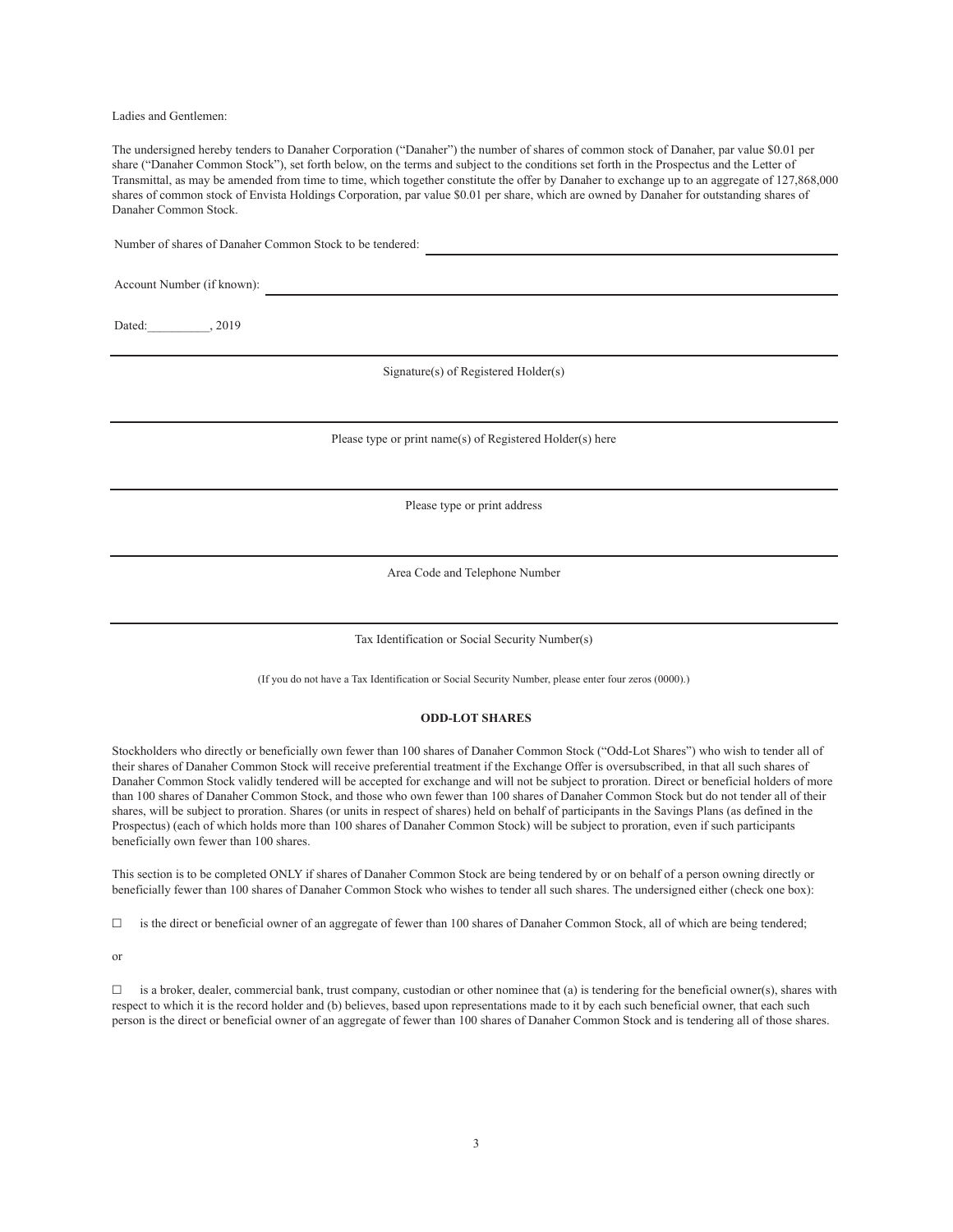Ladies and Gentlemen:

The undersigned hereby tenders to Danaher Corporation ("Danaher") the number of shares of common stock of Danaher, par value \$0.01 per share ("Danaher Common Stock"), set forth below, on the terms and subject to the conditions set forth in the Prospectus and the Letter of Transmittal, as may be amended from time to time, which together constitute the offer by Danaher to exchange up to an aggregate of 127,868,000 shares of common stock of Envista Holdings Corporation, par value \$0.01 per share, which are owned by Danaher for outstanding shares of Danaher Common Stock.

Number of shares of Danaher Common Stock to be tendered:

Account Number (if known):

Dated: 1, 2019

Signature(s) of Registered Holder(s)

Please type or print name(s) of Registered Holder(s) here

Please type or print address

Area Code and Telephone Number

Tax Identification or Social Security Number(s)

(If you do not have a Tax Identification or Social Security Number, please enter four zeros (0000).)

#### **ODD-LOT SHARES**

Stockholders who directly or beneficially own fewer than 100 shares of Danaher Common Stock ("Odd-Lot Shares") who wish to tender all of their shares of Danaher Common Stock will receive preferential treatment if the Exchange Offer is oversubscribed, in that all such shares of Danaher Common Stock validly tendered will be accepted for exchange and will not be subject to proration. Direct or beneficial holders of more than 100 shares of Danaher Common Stock, and those who own fewer than 100 shares of Danaher Common Stock but do not tender all of their shares, will be subject to proration. Shares (or units in respect of shares) held on behalf of participants in the Savings Plans (as defined in the Prospectus) (each of which holds more than 100 shares of Danaher Common Stock) will be subject to proration, even if such participants beneficially own fewer than 100 shares.

This section is to be completed ONLY if shares of Danaher Common Stock are being tendered by or on behalf of a person owning directly or beneficially fewer than 100 shares of Danaher Common Stock who wishes to tender all such shares. The undersigned either (check one box):

☐ is the direct or beneficial owner of an aggregate of fewer than 100 shares of Danaher Common Stock, all of which are being tendered;

or

 $\Box$  is a broker, dealer, commercial bank, trust company, custodian or other nominee that (a) is tendering for the beneficial owner(s), shares with respect to which it is the record holder and (b) believes, based upon representations made to it by each such beneficial owner, that each such person is the direct or beneficial owner of an aggregate of fewer than 100 shares of Danaher Common Stock and is tendering all of those shares.